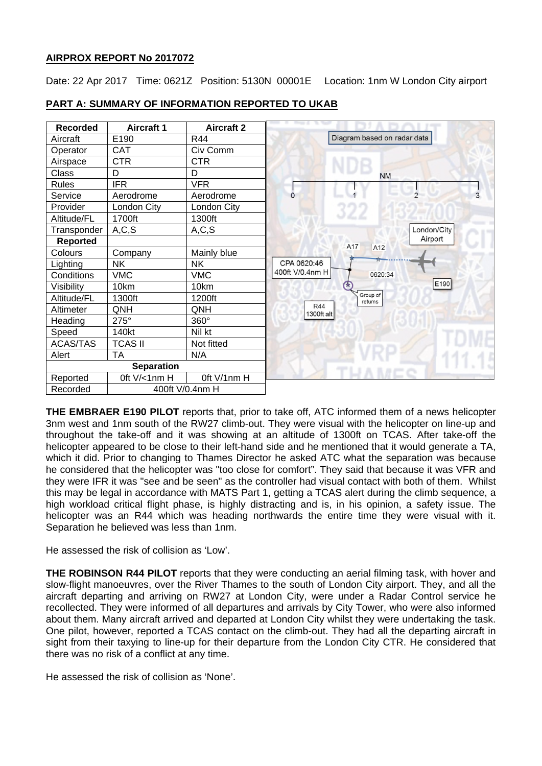## **AIRPROX REPORT No 2017072**

Date: 22 Apr 2017 Time: 0621Z Position: 5130N 00001E Location: 1nm W London City airport

| Recorded          | <b>Aircraft 1</b> | <b>Aircraft 2</b> |                                                 |
|-------------------|-------------------|-------------------|-------------------------------------------------|
| Aircraft          | E190              | <b>R44</b>        | Diagram based on radar data                     |
| Operator          | <b>CAT</b>        | Civ Comm          |                                                 |
| Airspace          | <b>CTR</b>        | <b>CTR</b>        |                                                 |
| Class             | D                 | D                 | <b>NM</b>                                       |
| Rules             | <b>IFR</b>        | <b>VFR</b>        |                                                 |
| Service           | Aerodrome         | Aerodrome         | $\mathfrak{D}$<br>3<br>$\Omega$                 |
| Provider          | London City       | London City       |                                                 |
| Altitude/FL       | 1700ft            | 1300ft            |                                                 |
| Transponder       | A, C, S           | A, C, S           | London/City                                     |
| <b>Reported</b>   |                   |                   | Airport<br>A17<br>A12                           |
| Colours           | Company           | Mainly blue       |                                                 |
| Lighting          | <b>NK</b>         | <b>NK</b>         | ਸ਼ਿ<br>CPA 0620:46                              |
| Conditions        | <b>VMC</b>        | <b>VMC</b>        | 400ft V/0.4nm H<br>0620:34                      |
| Visibility        | 10km              | 10km              | E190                                            |
| Altitude/FL       | 1300ft            | 1200ft            | Group of<br>returns<br><b>R44</b><br>1300ft alt |
| Altimeter         | QNH               | QNH               |                                                 |
| Heading           | 275°              | 360°              |                                                 |
| Speed             | 140kt             | Nil kt            |                                                 |
| <b>ACAS/TAS</b>   | <b>TCAS II</b>    | Not fitted        |                                                 |
| Alert             | <b>TA</b>         | N/A               |                                                 |
| <b>Separation</b> |                   |                   |                                                 |
| Reported          | Oft V/<1nm H      | Oft V/1nm H       |                                                 |
| Recorded          | 400ft V/0.4nm H   |                   |                                                 |

# **PART A: SUMMARY OF INFORMATION REPORTED TO UKAB**

**THE EMBRAER E190 PILOT** reports that, prior to take off, ATC informed them of a news helicopter 3nm west and 1nm south of the RW27 climb-out. They were visual with the helicopter on line-up and throughout the take-off and it was showing at an altitude of 1300ft on TCAS. After take-off the helicopter appeared to be close to their left-hand side and he mentioned that it would generate a TA, which it did. Prior to changing to Thames Director he asked ATC what the separation was because he considered that the helicopter was "too close for comfort". They said that because it was VFR and they were IFR it was "see and be seen" as the controller had visual contact with both of them. Whilst this may be legal in accordance with MATS Part 1, getting a TCAS alert during the climb sequence, a high workload critical flight phase, is highly distracting and is, in his opinion, a safety issue. The helicopter was an R44 which was heading northwards the entire time they were visual with it. Separation he believed was less than 1nm.

He assessed the risk of collision as 'Low'.

**THE ROBINSON R44 PILOT** reports that they were conducting an aerial filming task, with hover and slow-flight manoeuvres, over the River Thames to the south of London City airport. They, and all the aircraft departing and arriving on RW27 at London City, were under a Radar Control service he recollected. They were informed of all departures and arrivals by City Tower, who were also informed about them. Many aircraft arrived and departed at London City whilst they were undertaking the task. One pilot, however, reported a TCAS contact on the climb-out. They had all the departing aircraft in sight from their taxying to line-up for their departure from the London City CTR. He considered that there was no risk of a conflict at any time.

He assessed the risk of collision as 'None'.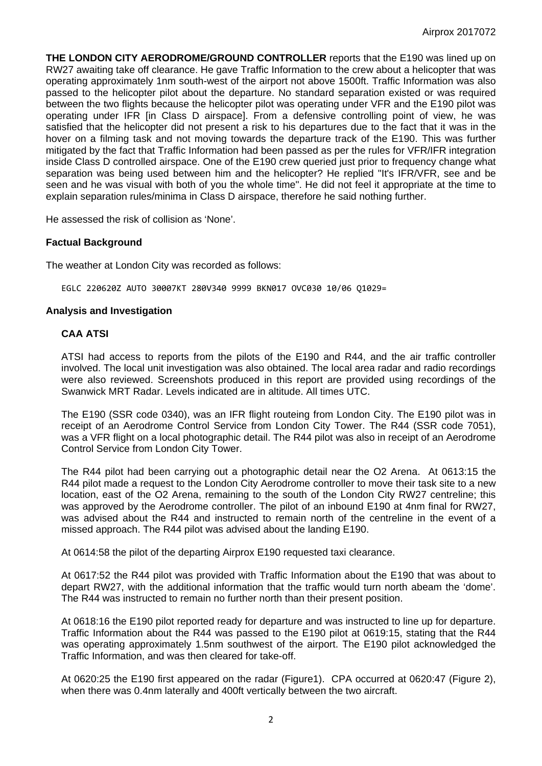**THE LONDON CITY AERODROME/GROUND CONTROLLER** reports that the E190 was lined up on RW27 awaiting take off clearance. He gave Traffic Information to the crew about a helicopter that was operating approximately 1nm south-west of the airport not above 1500ft. Traffic Information was also passed to the helicopter pilot about the departure. No standard separation existed or was required between the two flights because the helicopter pilot was operating under VFR and the E190 pilot was operating under IFR [in Class D airspace]. From a defensive controlling point of view, he was satisfied that the helicopter did not present a risk to his departures due to the fact that it was in the hover on a filming task and not moving towards the departure track of the E190. This was further mitigated by the fact that Traffic Information had been passed as per the rules for VFR/IFR integration inside Class D controlled airspace. One of the E190 crew queried just prior to frequency change what separation was being used between him and the helicopter? He replied "It's IFR/VFR, see and be seen and he was visual with both of you the whole time". He did not feel it appropriate at the time to explain separation rules/minima in Class D airspace, therefore he said nothing further.

He assessed the risk of collision as 'None'.

## **Factual Background**

The weather at London City was recorded as follows:

EGLC 220620Z AUTO 30007KT 280V340 9999 BKN017 OVC030 10/06 Q1029=

#### **Analysis and Investigation**

#### **CAA ATSI**

ATSI had access to reports from the pilots of the E190 and R44, and the air traffic controller involved. The local unit investigation was also obtained. The local area radar and radio recordings were also reviewed. Screenshots produced in this report are provided using recordings of the Swanwick MRT Radar. Levels indicated are in altitude. All times UTC.

The E190 (SSR code 0340), was an IFR flight routeing from London City. The E190 pilot was in receipt of an Aerodrome Control Service from London City Tower. The R44 (SSR code 7051), was a VFR flight on a local photographic detail. The R44 pilot was also in receipt of an Aerodrome Control Service from London City Tower.

The R44 pilot had been carrying out a photographic detail near the O2 Arena. At 0613:15 the R44 pilot made a request to the London City Aerodrome controller to move their task site to a new location, east of the O2 Arena, remaining to the south of the London City RW27 centreline; this was approved by the Aerodrome controller. The pilot of an inbound E190 at 4nm final for RW27, was advised about the R44 and instructed to remain north of the centreline in the event of a missed approach. The R44 pilot was advised about the landing E190.

At 0614:58 the pilot of the departing Airprox E190 requested taxi clearance.

At 0617:52 the R44 pilot was provided with Traffic Information about the E190 that was about to depart RW27, with the additional information that the traffic would turn north abeam the 'dome'. The R44 was instructed to remain no further north than their present position.

At 0618:16 the E190 pilot reported ready for departure and was instructed to line up for departure. Traffic Information about the R44 was passed to the E190 pilot at 0619:15, stating that the R44 was operating approximately 1.5nm southwest of the airport. The E190 pilot acknowledged the Traffic Information, and was then cleared for take-off.

At 0620:25 the E190 first appeared on the radar (Figure1). CPA occurred at 0620:47 (Figure 2), when there was 0.4nm laterally and 400ft vertically between the two aircraft.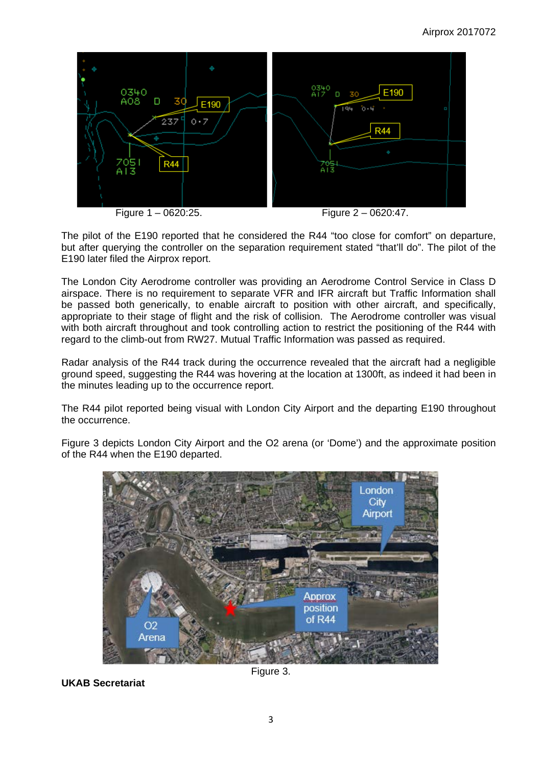

The pilot of the E190 reported that he considered the R44 "too close for comfort" on departure, but after querying the controller on the separation requirement stated "that'll do". The pilot of the E190 later filed the Airprox report.

The London City Aerodrome controller was providing an Aerodrome Control Service in Class D airspace. There is no requirement to separate VFR and IFR aircraft but Traffic Information shall be passed both generically, to enable aircraft to position with other aircraft, and specifically, appropriate to their stage of flight and the risk of collision. The Aerodrome controller was visual with both aircraft throughout and took controlling action to restrict the positioning of the R44 with regard to the climb-out from RW27. Mutual Traffic Information was passed as required.

Radar analysis of the R44 track during the occurrence revealed that the aircraft had a negligible ground speed, suggesting the R44 was hovering at the location at 1300ft, as indeed it had been in the minutes leading up to the occurrence report.

The R44 pilot reported being visual with London City Airport and the departing E190 throughout the occurrence.

Figure 3 depicts London City Airport and the O2 arena (or 'Dome') and the approximate position of the R44 when the E190 departed.



**UKAB Secretariat**

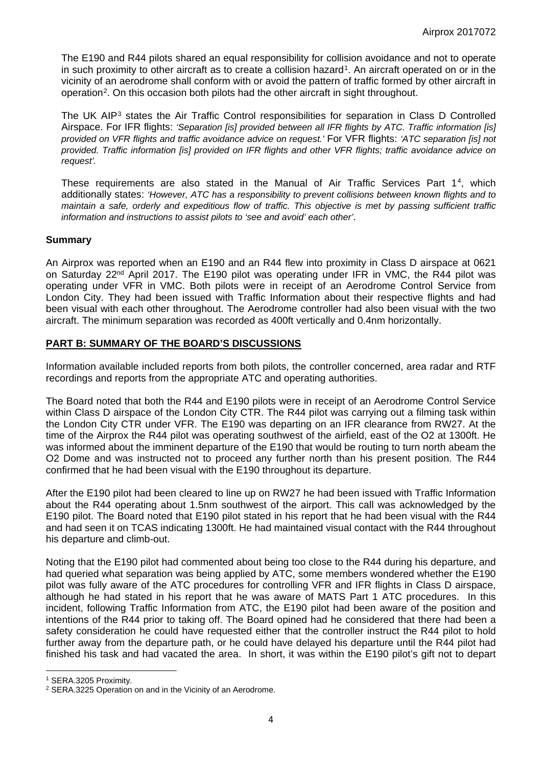The E190 and R44 pilots shared an equal responsibility for collision avoidance and not to operate in such proximity to other aircraft as to create a collision hazard<sup>[1](#page-3-0)</sup>. An aircraft operated on or in the vicinity of an aerodrome shall conform with or avoid the pattern of traffic formed by other aircraft in operation[2.](#page-3-1) On this occasion both pilots had the other aircraft in sight throughout.

The UK AIP<sup>[3](#page-3-2)</sup> states the Air Traffic Control responsibilities for separation in Class D Controlled Airspace. For IFR flights: *'Separation [is] provided between all IFR flights by ATC. Traffic information [is] provided on VFR flights and traffic avoidance advice on request.'* For VFR flights: *'ATC separation [is] not provided. Traffic information [is] provided on IFR flights and other VFR flights; traffic avoidance advice on request'.* 

These requirements are also stated in the Manual of Air Traffic Services Part 1[4,](#page-3-3) which additionally states: *'However, ATC has a responsibility to prevent collisions between known flights and to maintain a safe, orderly and expeditious flow of traffic. This objective is met by passing sufficient traffic information and instructions to assist pilots to 'see and avoid' each other'*.

## **Summary**

An Airprox was reported when an E190 and an R44 flew into proximity in Class D airspace at 0621 on Saturday 22<sup>nd</sup> April 2017. The E190 pilot was operating under IFR in VMC, the R44 pilot was operating under VFR in VMC. Both pilots were in receipt of an Aerodrome Control Service from London City. They had been issued with Traffic Information about their respective flights and had been visual with each other throughout. The Aerodrome controller had also been visual with the two aircraft. The minimum separation was recorded as 400ft vertically and 0.4nm horizontally.

## **PART B: SUMMARY OF THE BOARD'S DISCUSSIONS**

Information available included reports from both pilots, the controller concerned, area radar and RTF recordings and reports from the appropriate ATC and operating authorities.

The Board noted that both the R44 and E190 pilots were in receipt of an Aerodrome Control Service within Class D airspace of the London City CTR. The R44 pilot was carrying out a filming task within the London City CTR under VFR. The E190 was departing on an IFR clearance from RW27. At the time of the Airprox the R44 pilot was operating southwest of the airfield, east of the O2 at 1300ft. He was informed about the imminent departure of the E190 that would be routing to turn north abeam the O2 Dome and was instructed not to proceed any further north than his present position. The R44 confirmed that he had been visual with the E190 throughout its departure.

After the E190 pilot had been cleared to line up on RW27 he had been issued with Traffic Information about the R44 operating about 1.5nm southwest of the airport. This call was acknowledged by the E190 pilot. The Board noted that E190 pilot stated in his report that he had been visual with the R44 and had seen it on TCAS indicating 1300ft. He had maintained visual contact with the R44 throughout his departure and climb-out.

Noting that the E190 pilot had commented about being too close to the R44 during his departure, and had queried what separation was being applied by ATC, some members wondered whether the E190 pilot was fully aware of the ATC procedures for controlling VFR and IFR flights in Class D airspace, although he had stated in his report that he was aware of MATS Part 1 ATC procedures. In this incident, following Traffic Information from ATC, the E190 pilot had been aware of the position and intentions of the R44 prior to taking off. The Board opined had he considered that there had been a safety consideration he could have requested either that the controller instruct the R44 pilot to hold further away from the departure path, or he could have delayed his departure until the R44 pilot had finished his task and had vacated the area. In short, it was within the E190 pilot's gift not to depart

 $\overline{a}$ 

<span id="page-3-0"></span><sup>1</sup> SERA.3205 Proximity.

<span id="page-3-3"></span><span id="page-3-2"></span><span id="page-3-1"></span><sup>2</sup> SERA.3225 Operation on and in the Vicinity of an Aerodrome.